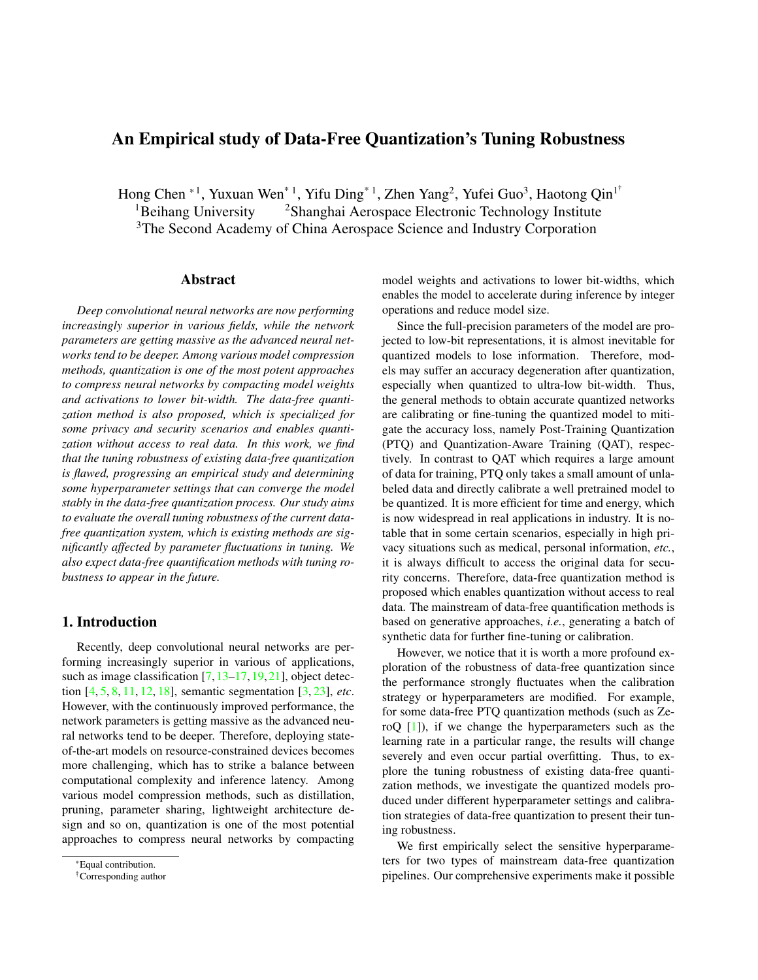# <span id="page-0-0"></span>An Empirical study of Data-Free Quantization's Tuning Robustness

Hong Chen  $*^1$ , Yuxuan Wen $*^1$ , Yifu Ding $*^1$ , Zhen Yang<sup>2</sup>, Yufei Guo<sup>3</sup>, Haotong Qin<sup>1†</sup> <sup>1</sup>Beihang University <sup>2</sup>Shanghai Aerospace Electronic Technology Institute <sup>3</sup>The Second Academy of China Aerospace Science and Industry Corporation

## Abstract

*Deep convolutional neural networks are now performing increasingly superior in various fields, while the network parameters are getting massive as the advanced neural networks tend to be deeper. Among various model compression methods, quantization is one of the most potent approaches to compress neural networks by compacting model weights and activations to lower bit-width. The data-free quantization method is also proposed, which is specialized for some privacy and security scenarios and enables quantization without access to real data. In this work, we find that the tuning robustness of existing data-free quantization is flawed, progressing an empirical study and determining some hyperparameter settings that can converge the model stably in the data-free quantization process. Our study aims to evaluate the overall tuning robustness of the current datafree quantization system, which is existing methods are significantly affected by parameter fluctuations in tuning. We also expect data-free quantification methods with tuning robustness to appear in the future.*

## 1. Introduction

Recently, deep convolutional neural networks are performing increasingly superior in various of applications, such as image classification [\[7,](#page-6-0) [13–](#page-6-1)[17,](#page-6-2) [19,](#page-6-3) [21\]](#page-6-4), object detection [\[4,](#page-6-5) [5,](#page-6-6) [8,](#page-6-7) [11,](#page-6-8) [12,](#page-6-9) [18\]](#page-6-10), semantic segmentation [\[3,](#page-6-11) [23\]](#page-6-12), *etc*. However, with the continuously improved performance, the network parameters is getting massive as the advanced neural networks tend to be deeper. Therefore, deploying stateof-the-art models on resource-constrained devices becomes more challenging, which has to strike a balance between computational complexity and inference latency. Among various model compression methods, such as distillation, pruning, parameter sharing, lightweight architecture design and so on, quantization is one of the most potential approaches to compress neural networks by compacting model weights and activations to lower bit-widths, which enables the model to accelerate during inference by integer operations and reduce model size.

Since the full-precision parameters of the model are projected to low-bit representations, it is almost inevitable for quantized models to lose information. Therefore, models may suffer an accuracy degeneration after quantization, especially when quantized to ultra-low bit-width. Thus, the general methods to obtain accurate quantized networks are calibrating or fine-tuning the quantized model to mitigate the accuracy loss, namely Post-Training Quantization (PTQ) and Quantization-Aware Training (QAT), respectively. In contrast to QAT which requires a large amount of data for training, PTQ only takes a small amount of unlabeled data and directly calibrate a well pretrained model to be quantized. It is more efficient for time and energy, which is now widespread in real applications in industry. It is notable that in some certain scenarios, especially in high privacy situations such as medical, personal information, *etc.*, it is always difficult to access the original data for security concerns. Therefore, data-free quantization method is proposed which enables quantization without access to real data. The mainstream of data-free quantification methods is based on generative approaches, *i.e.*, generating a batch of synthetic data for further fine-tuning or calibration.

However, we notice that it is worth a more profound exploration of the robustness of data-free quantization since the performance strongly fluctuates when the calibration strategy or hyperparameters are modified. For example, for some data-free PTQ quantization methods (such as ZeroQ [\[1\]](#page-6-13)), if we change the hyperparameters such as the learning rate in a particular range, the results will change severely and even occur partial overfitting. Thus, to explore the tuning robustness of existing data-free quantization methods, we investigate the quantized models produced under different hyperparameter settings and calibration strategies of data-free quantization to present their tuning robustness.

We first empirically select the sensitive hyperparameters for two types of mainstream data-free quantization pipelines. Our comprehensive experiments make it possible

<sup>\*</sup>Equal contribution.

<sup>†</sup>Corresponding author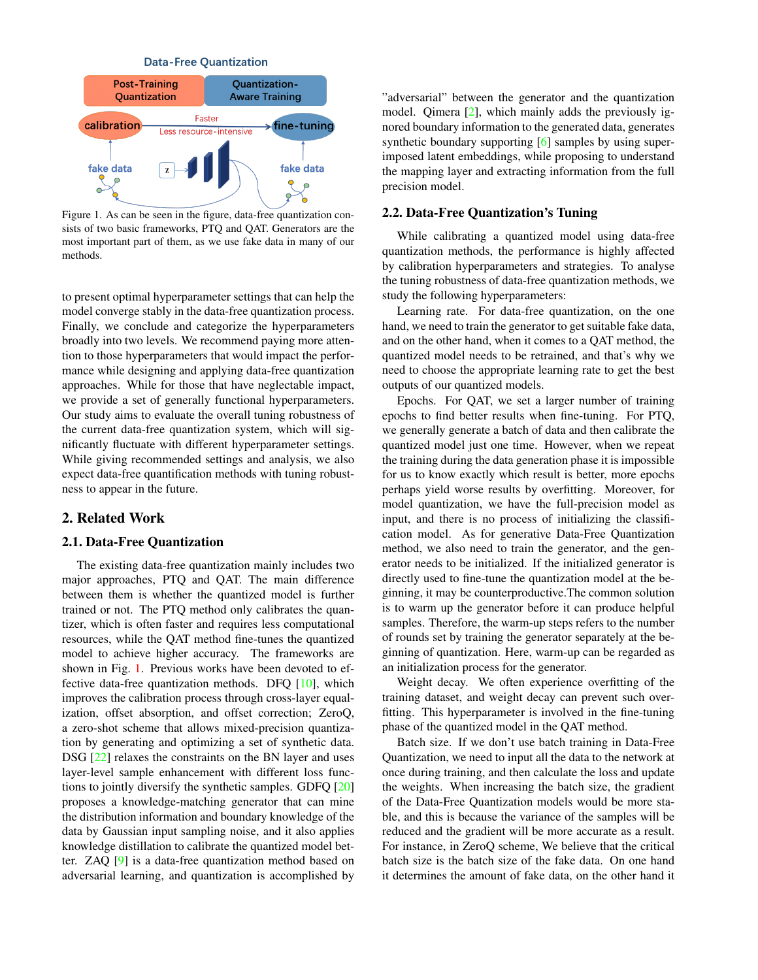**Data-Free Quantization** 

<span id="page-1-1"></span><span id="page-1-0"></span>

Figure 1. As can be seen in the figure, data-free quantization consists of two basic frameworks, PTQ and QAT. Generators are the most important part of them, as we use fake data in many of our methods.

to present optimal hyperparameter settings that can help the model converge stably in the data-free quantization process. Finally, we conclude and categorize the hyperparameters broadly into two levels. We recommend paying more attention to those hyperparameters that would impact the performance while designing and applying data-free quantization approaches. While for those that have neglectable impact, we provide a set of generally functional hyperparameters. Our study aims to evaluate the overall tuning robustness of the current data-free quantization system, which will significantly fluctuate with different hyperparameter settings. While giving recommended settings and analysis, we also expect data-free quantification methods with tuning robustness to appear in the future.

## 2. Related Work

#### 2.1. Data-Free Quantization

The existing data-free quantization mainly includes two major approaches, PTQ and QAT. The main difference between them is whether the quantized model is further trained or not. The PTQ method only calibrates the quantizer, which is often faster and requires less computational resources, while the QAT method fine-tunes the quantized model to achieve higher accuracy. The frameworks are shown in Fig. [1.](#page-1-0) Previous works have been devoted to effective data-free quantization methods. DFQ [\[10\]](#page-6-14), which improves the calibration process through cross-layer equalization, offset absorption, and offset correction; ZeroQ, a zero-shot scheme that allows mixed-precision quantization by generating and optimizing a set of synthetic data. DSG [\[22\]](#page-6-15) relaxes the constraints on the BN layer and uses layer-level sample enhancement with different loss functions to jointly diversify the synthetic samples. GDFQ [\[20\]](#page-6-16) proposes a knowledge-matching generator that can mine the distribution information and boundary knowledge of the data by Gaussian input sampling noise, and it also applies knowledge distillation to calibrate the quantized model better. ZAQ [\[9\]](#page-6-17) is a data-free quantization method based on adversarial learning, and quantization is accomplished by "adversarial" between the generator and the quantization model. Qimera [\[2\]](#page-6-18), which mainly adds the previously ignored boundary information to the generated data, generates synthetic boundary supporting [\[6\]](#page-6-19) samples by using superimposed latent embeddings, while proposing to understand the mapping layer and extracting information from the full precision model.

## 2.2. Data-Free Quantization's Tuning

While calibrating a quantized model using data-free quantization methods, the performance is highly affected by calibration hyperparameters and strategies. To analyse the tuning robustness of data-free quantization methods, we study the following hyperparameters:

Learning rate. For data-free quantization, on the one hand, we need to train the generator to get suitable fake data, and on the other hand, when it comes to a QAT method, the quantized model needs to be retrained, and that's why we need to choose the appropriate learning rate to get the best outputs of our quantized models.

Epochs. For QAT, we set a larger number of training epochs to find better results when fine-tuning. For PTQ, we generally generate a batch of data and then calibrate the quantized model just one time. However, when we repeat the training during the data generation phase it is impossible for us to know exactly which result is better, more epochs perhaps yield worse results by overfitting. Moreover, for model quantization, we have the full-precision model as input, and there is no process of initializing the classification model. As for generative Data-Free Quantization method, we also need to train the generator, and the generator needs to be initialized. If the initialized generator is directly used to fine-tune the quantization model at the beginning, it may be counterproductive.The common solution is to warm up the generator before it can produce helpful samples. Therefore, the warm-up steps refers to the number of rounds set by training the generator separately at the beginning of quantization. Here, warm-up can be regarded as an initialization process for the generator.

Weight decay. We often experience overfitting of the training dataset, and weight decay can prevent such overfitting. This hyperparameter is involved in the fine-tuning phase of the quantized model in the QAT method.

Batch size. If we don't use batch training in Data-Free Quantization, we need to input all the data to the network at once during training, and then calculate the loss and update the weights. When increasing the batch size, the gradient of the Data-Free Quantization models would be more stable, and this is because the variance of the samples will be reduced and the gradient will be more accurate as a result. For instance, in ZeroQ scheme, We believe that the critical batch size is the batch size of the fake data. On one hand it determines the amount of fake data, on the other hand it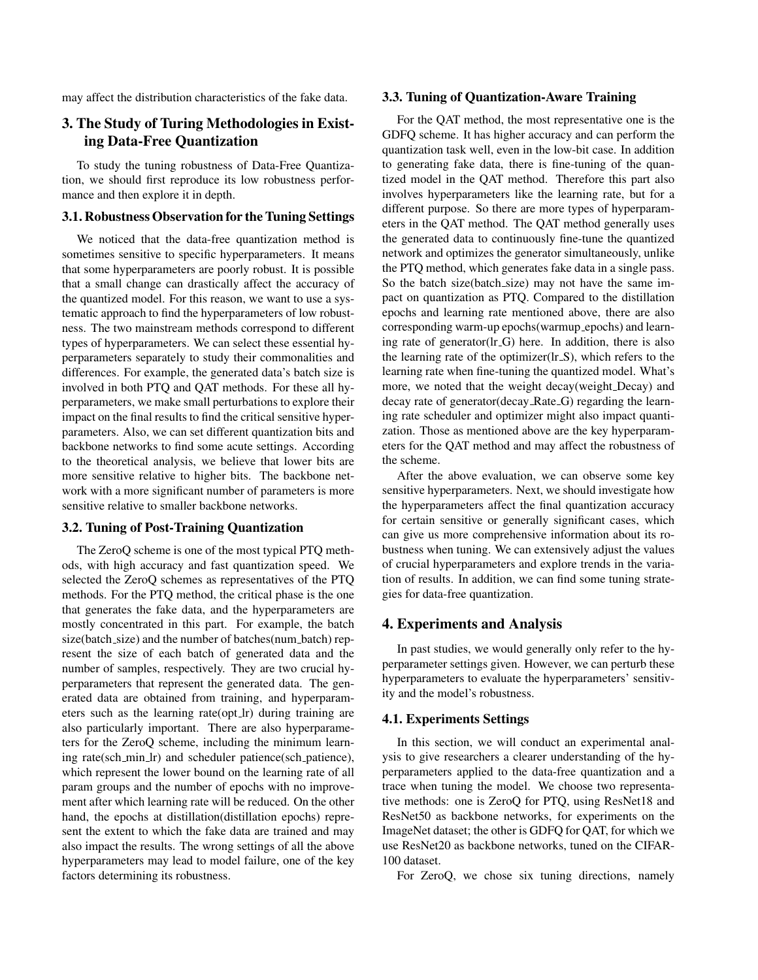may affect the distribution characteristics of the fake data.

## 3. The Study of Turing Methodologies in Existing Data-Free Quantization

To study the tuning robustness of Data-Free Quantization, we should first reproduce its low robustness performance and then explore it in depth.

## 3.1. Robustness Observation for the Tuning Settings

We noticed that the data-free quantization method is sometimes sensitive to specific hyperparameters. It means that some hyperparameters are poorly robust. It is possible that a small change can drastically affect the accuracy of the quantized model. For this reason, we want to use a systematic approach to find the hyperparameters of low robustness. The two mainstream methods correspond to different types of hyperparameters. We can select these essential hyperparameters separately to study their commonalities and differences. For example, the generated data's batch size is involved in both PTQ and QAT methods. For these all hyperparameters, we make small perturbations to explore their impact on the final results to find the critical sensitive hyperparameters. Also, we can set different quantization bits and backbone networks to find some acute settings. According to the theoretical analysis, we believe that lower bits are more sensitive relative to higher bits. The backbone network with a more significant number of parameters is more sensitive relative to smaller backbone networks.

## 3.2. Tuning of Post-Training Quantization

The ZeroQ scheme is one of the most typical PTQ methods, with high accuracy and fast quantization speed. We selected the ZeroQ schemes as representatives of the PTQ methods. For the PTQ method, the critical phase is the one that generates the fake data, and the hyperparameters are mostly concentrated in this part. For example, the batch size(batch\_size) and the number of batches(num\_batch) represent the size of each batch of generated data and the number of samples, respectively. They are two crucial hyperparameters that represent the generated data. The generated data are obtained from training, and hyperparameters such as the learning rate(opt\_lr) during training are also particularly important. There are also hyperparameters for the ZeroQ scheme, including the minimum learning rate(sch min lr) and scheduler patience(sch patience), which represent the lower bound on the learning rate of all param groups and the number of epochs with no improvement after which learning rate will be reduced. On the other hand, the epochs at distillation(distillation epochs) represent the extent to which the fake data are trained and may also impact the results. The wrong settings of all the above hyperparameters may lead to model failure, one of the key factors determining its robustness.

#### 3.3. Tuning of Quantization-Aware Training

For the QAT method, the most representative one is the GDFQ scheme. It has higher accuracy and can perform the quantization task well, even in the low-bit case. In addition to generating fake data, there is fine-tuning of the quantized model in the QAT method. Therefore this part also involves hyperparameters like the learning rate, but for a different purpose. So there are more types of hyperparameters in the QAT method. The QAT method generally uses the generated data to continuously fine-tune the quantized network and optimizes the generator simultaneously, unlike the PTQ method, which generates fake data in a single pass. So the batch size(batch\_size) may not have the same impact on quantization as PTQ. Compared to the distillation epochs and learning rate mentioned above, there are also corresponding warm-up epochs(warmup epochs) and learning rate of generator(lr\_G) here. In addition, there is also the learning rate of the optimizer $(lr_S)$ , which refers to the learning rate when fine-tuning the quantized model. What's more, we noted that the weight decay(weight Decay) and decay rate of generator (decay Rate G) regarding the learning rate scheduler and optimizer might also impact quantization. Those as mentioned above are the key hyperparameters for the QAT method and may affect the robustness of the scheme.

After the above evaluation, we can observe some key sensitive hyperparameters. Next, we should investigate how the hyperparameters affect the final quantization accuracy for certain sensitive or generally significant cases, which can give us more comprehensive information about its robustness when tuning. We can extensively adjust the values of crucial hyperparameters and explore trends in the variation of results. In addition, we can find some tuning strategies for data-free quantization.

## 4. Experiments and Analysis

In past studies, we would generally only refer to the hyperparameter settings given. However, we can perturb these hyperparameters to evaluate the hyperparameters' sensitivity and the model's robustness.

## 4.1. Experiments Settings

In this section, we will conduct an experimental analysis to give researchers a clearer understanding of the hyperparameters applied to the data-free quantization and a trace when tuning the model. We choose two representative methods: one is ZeroQ for PTQ, using ResNet18 and ResNet50 as backbone networks, for experiments on the ImageNet dataset; the other is GDFQ for QAT, for which we use ResNet20 as backbone networks, tuned on the CIFAR-100 dataset.

For ZeroQ, we chose six tuning directions, namely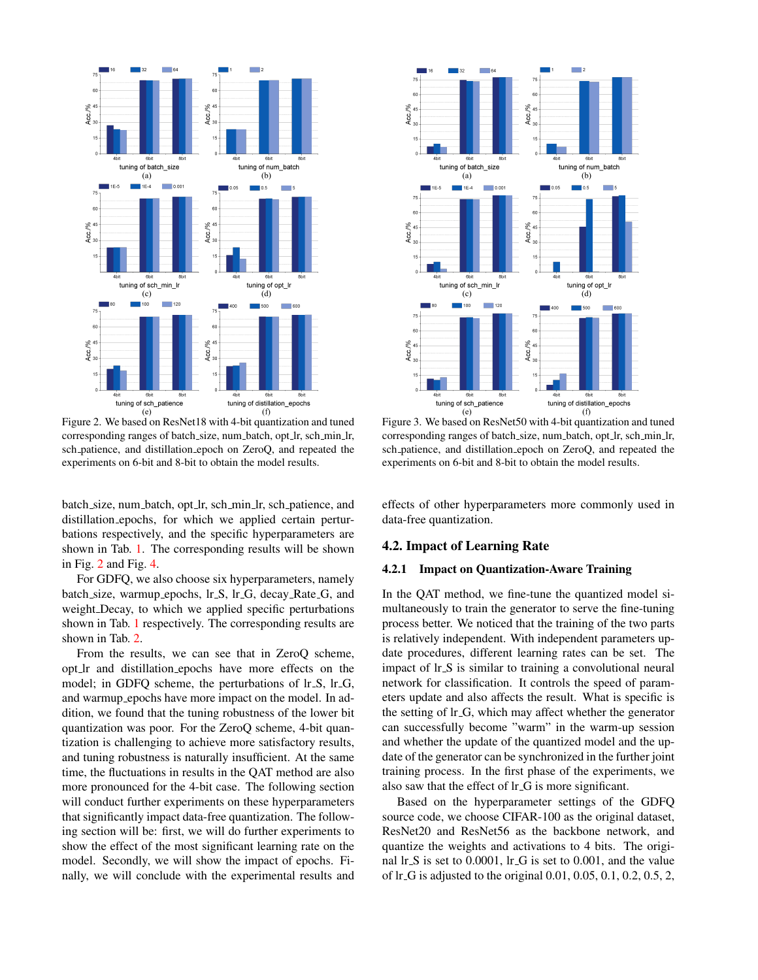<span id="page-3-0"></span>

Figure 2. We based on ResNet18 with 4-bit quantization and tuned corresponding ranges of batch\_size, num\_batch, opt\_lr, sch\_min\_lr, sch patience, and distillation epoch on ZeroQ, and repeated the experiments on 6-bit and 8-bit to obtain the model results.

batch size, num batch, opt lr, sch min lr, sch patience, and distillation epochs, for which we applied certain perturbations respectively, and the specific hyperparameters are shown in Tab. [1.](#page-4-0) The corresponding results will be shown in Fig. [2](#page-3-0) and Fig. [4.](#page-4-1)

For GDFQ, we also choose six hyperparameters, namely batch size, warmup epochs, lr S, lr G, decay Rate G, and weight Decay, to which we applied specific perturbations shown in Tab. [1](#page-4-0) respectively. The corresponding results are shown in Tab. [2.](#page-4-2)

From the results, we can see that in ZeroQ scheme, opt lr and distillation epochs have more effects on the model; in GDFQ scheme, the perturbations of lr.S, lr.G, and warmup epochs have more impact on the model. In addition, we found that the tuning robustness of the lower bit quantization was poor. For the ZeroQ scheme, 4-bit quantization is challenging to achieve more satisfactory results, and tuning robustness is naturally insufficient. At the same time, the fluctuations in results in the QAT method are also more pronounced for the 4-bit case. The following section will conduct further experiments on these hyperparameters that significantly impact data-free quantization. The following section will be: first, we will do further experiments to show the effect of the most significant learning rate on the model. Secondly, we will show the impact of epochs. Finally, we will conclude with the experimental results and



Figure 3. We based on ResNet50 with 4-bit quantization and tuned corresponding ranges of batch\_size, num\_batch, opt\_lr, sch\_min\_lr, sch patience, and distillation epoch on ZeroQ, and repeated the experiments on 6-bit and 8-bit to obtain the model results.

effects of other hyperparameters more commonly used in data-free quantization.

### 4.2. Impact of Learning Rate

## 4.2.1 Impact on Quantization-Aware Training

In the QAT method, we fine-tune the quantized model simultaneously to train the generator to serve the fine-tuning process better. We noticed that the training of the two parts is relatively independent. With independent parameters update procedures, different learning rates can be set. The impact of lr<sub>-S</sub> is similar to training a convolutional neural network for classification. It controls the speed of parameters update and also affects the result. What is specific is the setting of lr G, which may affect whether the generator can successfully become "warm" in the warm-up session and whether the update of the quantized model and the update of the generator can be synchronized in the further joint training process. In the first phase of the experiments, we also saw that the effect of lr G is more significant.

Based on the hyperparameter settings of the GDFQ source code, we choose CIFAR-100 as the original dataset, ResNet20 and ResNet56 as the backbone network, and quantize the weights and activations to 4 bits. The original lr S is set to 0.0001, lr G is set to 0.001, and the value of lr G is adjusted to the original 0.01, 0.05, 0.1, 0.2, 0.5, 2,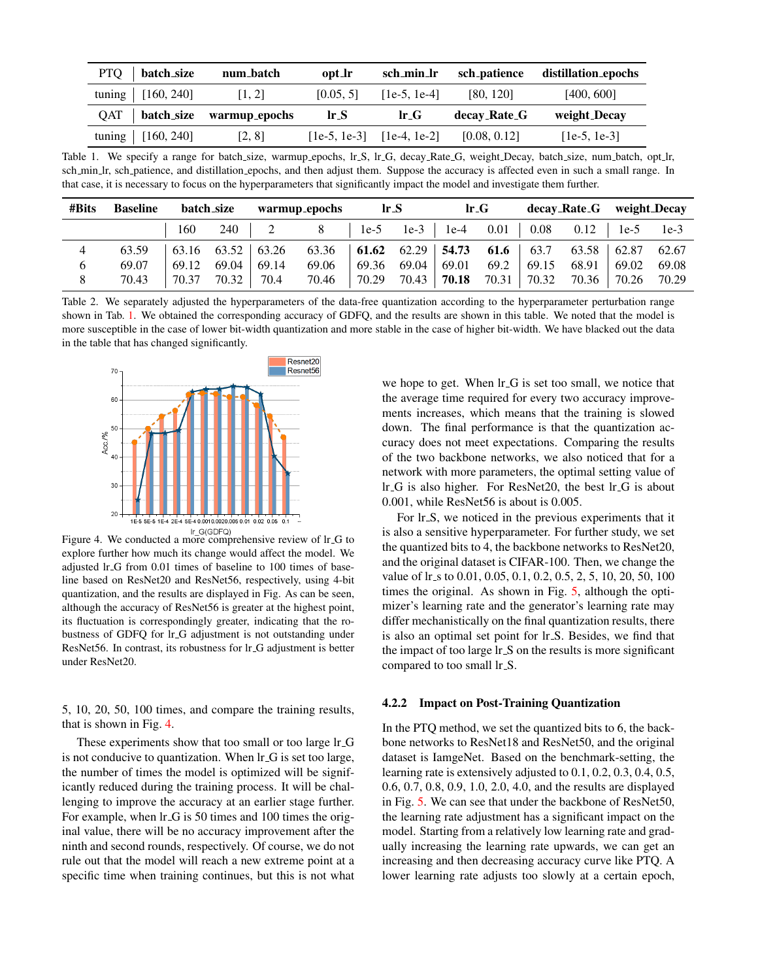<span id="page-4-0"></span>

| PTQ   batch_size                 | num_batch | opt_lr                   | sch_min_lr     | sch_patience | distillation_epochs |
|----------------------------------|-----------|--------------------------|----------------|--------------|---------------------|
| tuning $[160, 240]$              | [1, 2]    | [0.05, 5]                | $[1e-5, 1e-4]$ | [80, 120]    | [400, 600]          |
|                                  |           |                          |                |              |                     |
| $QAT$   batch_size warmup_epochs |           | $\mathbf{lr}.\mathbf{S}$ | $lr$ - $G$     | decay_Rate_G | weight_Decay        |

Table 1. We specify a range for batch size, warmup epochs, lr S, lr G, decay Rate G, weight Decay, batch size, num batch, opt lr, sch min lr, sch patience, and distillation epochs, and then adjust them. Suppose the accuracy is affected even in such a small range. In that case, it is necessary to focus on the hyperparameters that significantly impact the model and investigate them further.

<span id="page-4-2"></span>

| #Bits          | <b>Baseline</b> | batch_size |                         | warmup_epochs |                                         | lrS   |                 | $lr_{-}G$            |       | decay_Rate_G weight_Decay |                       |        |       |
|----------------|-----------------|------------|-------------------------|---------------|-----------------------------------------|-------|-----------------|----------------------|-------|---------------------------|-----------------------|--------|-------|
|                |                 | 160        | 240                     |               | 8                                       |       |                 | $1e-5$ $1e-3$ $1e-4$ |       | $0.01$ 0.08               | $0.12$   1e-5 1e-3    |        |       |
| $\overline{4}$ | 63.59           |            | $63.16$ $63.52$ $63.26$ |               | 63.36   61.62 62.29   54.73 61.6   63.7 |       |                 |                      |       |                           | $63.58$   62.87 62.67 |        |       |
| $\sigma$       | 69.07           | 69.12      | 69.04                   | 69.14         | 69.06                                   |       | $69.36$ $69.04$ | 69.01                | 69.2  | 69.15                     | 68.91                 | 69.02  | 69.08 |
| 8              | 70.43           | 70.37      | 70.32                   | 70.4          | 70.46                                   | 70.29 | 70.43           | 70.18                | 70.31 | 70.32                     | 70.36                 | 170.26 | 70.29 |

Table 2. We separately adjusted the hyperparameters of the data-free quantization according to the hyperparameter perturbation range shown in Tab. [1.](#page-4-0) We obtained the corresponding accuracy of GDFQ, and the results are shown in this table. We noted that the model is more susceptible in the case of lower bit-width quantization and more stable in the case of higher bit-width. We have blacked out the data in the table that has changed significantly.

<span id="page-4-1"></span>

Figure 4. We conducted a more comprehensive review of lr<sub>-G</sub> to explore further how much its change would affect the model. We adjusted lr G from 0.01 times of baseline to 100 times of baseline based on ResNet20 and ResNet56, respectively, using 4-bit quantization, and the results are displayed in Fig. As can be seen, although the accuracy of ResNet56 is greater at the highest point, its fluctuation is correspondingly greater, indicating that the robustness of GDFQ for lr G adjustment is not outstanding under ResNet56. In contrast, its robustness for lr G adjustment is better under ResNet20.

5, 10, 20, 50, 100 times, and compare the training results, that is shown in Fig. [4.](#page-4-1)

These experiments show that too small or too large lr G is not conducive to quantization. When lr G is set too large, the number of times the model is optimized will be significantly reduced during the training process. It will be challenging to improve the accuracy at an earlier stage further. For example, when  $\text{lr}_-G$  is 50 times and 100 times the original value, there will be no accuracy improvement after the ninth and second rounds, respectively. Of course, we do not rule out that the model will reach a new extreme point at a specific time when training continues, but this is not what we hope to get. When  $\text{lr}\text{-}\text{G}$  is set too small, we notice that the average time required for every two accuracy improvements increases, which means that the training is slowed down. The final performance is that the quantization accuracy does not meet expectations. Comparing the results of the two backbone networks, we also noticed that for a network with more parameters, the optimal setting value of lr G is also higher. For ResNet20, the best lr G is about 0.001, while ResNet56 is about is 0.005.

For lr<sub>-S</sub>, we noticed in the previous experiments that it is also a sensitive hyperparameter. For further study, we set the quantized bits to 4, the backbone networks to ResNet20, and the original dataset is CIFAR-100. Then, we change the value of lr\_s to 0.01, 0.05, 0.1, 0.2, 0.5, 2, 5, 10, 20, 50, 100 times the original. As shown in Fig. [5,](#page-5-0) although the optimizer's learning rate and the generator's learning rate may differ mechanistically on the final quantization results, there is also an optimal set point for lr S. Besides, we find that the impact of too large lr S on the results is more significant compared to too small lr\_S.

### 4.2.2 Impact on Post-Training Quantization

In the PTQ method, we set the quantized bits to 6, the backbone networks to ResNet18 and ResNet50, and the original dataset is IamgeNet. Based on the benchmark-setting, the learning rate is extensively adjusted to 0.1, 0.2, 0.3, 0.4, 0.5, 0.6, 0.7, 0.8, 0.9, 1.0, 2.0, 4.0, and the results are displayed in Fig. [5.](#page-5-0) We can see that under the backbone of ResNet50, the learning rate adjustment has a significant impact on the model. Starting from a relatively low learning rate and gradually increasing the learning rate upwards, we can get an increasing and then decreasing accuracy curve like PTQ. A lower learning rate adjusts too slowly at a certain epoch,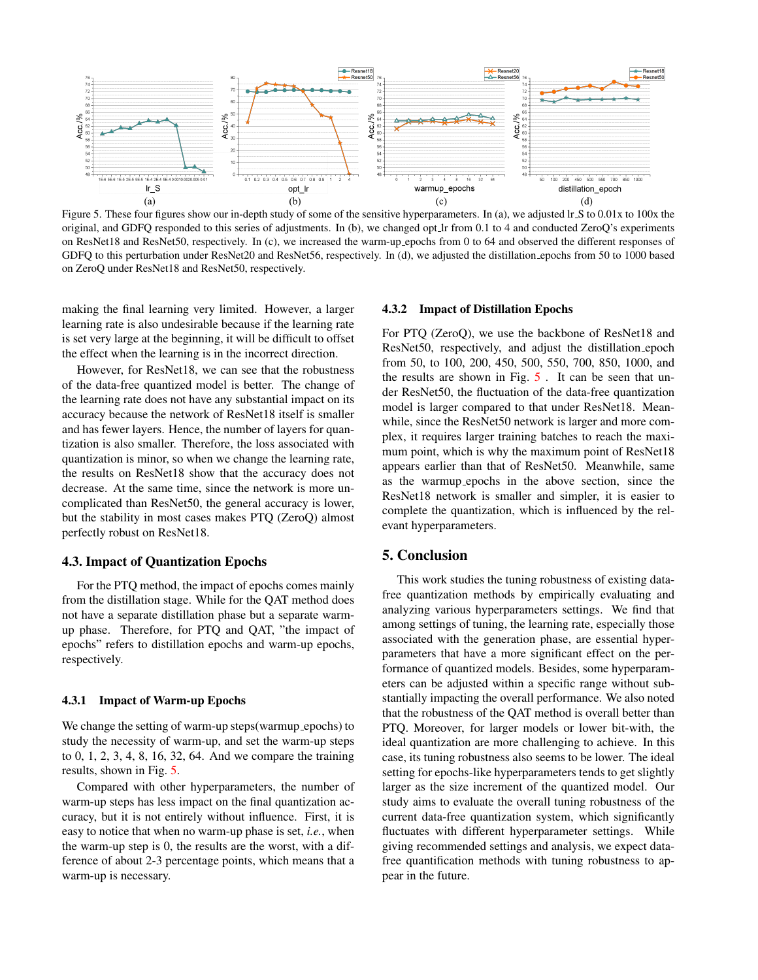<span id="page-5-0"></span>

Figure 5. These four figures show our in-depth study of some of the sensitive hyperparameters. In (a), we adjusted lr S to 0.01x to 100x the original, and GDFQ responded to this series of adjustments. In (b), we changed opt lr from 0.1 to 4 and conducted ZeroQ's experiments on ResNet18 and ResNet50, respectively. In (c), we increased the warm-up epochs from 0 to 64 and observed the different responses of GDFQ to this perturbation under ResNet20 and ResNet56, respectively. In (d), we adjusted the distillation epochs from 50 to 1000 based on ZeroQ under ResNet18 and ResNet50, respectively.

making the final learning very limited. However, a larger learning rate is also undesirable because if the learning rate is set very large at the beginning, it will be difficult to offset the effect when the learning is in the incorrect direction.

However, for ResNet18, we can see that the robustness of the data-free quantized model is better. The change of the learning rate does not have any substantial impact on its accuracy because the network of ResNet18 itself is smaller and has fewer layers. Hence, the number of layers for quantization is also smaller. Therefore, the loss associated with quantization is minor, so when we change the learning rate, the results on ResNet18 show that the accuracy does not decrease. At the same time, since the network is more uncomplicated than ResNet50, the general accuracy is lower, but the stability in most cases makes PTQ (ZeroQ) almost perfectly robust on ResNet18.

## 4.3. Impact of Quantization Epochs

For the PTQ method, the impact of epochs comes mainly from the distillation stage. While for the QAT method does not have a separate distillation phase but a separate warmup phase. Therefore, for PTQ and QAT, "the impact of epochs" refers to distillation epochs and warm-up epochs, respectively.

### 4.3.1 Impact of Warm-up Epochs

We change the setting of warm-up steps(warmup epochs) to study the necessity of warm-up, and set the warm-up steps to 0, 1, 2, 3, 4, 8, 16, 32, 64. And we compare the training results, shown in Fig. [5.](#page-5-0)

Compared with other hyperparameters, the number of warm-up steps has less impact on the final quantization accuracy, but it is not entirely without influence. First, it is easy to notice that when no warm-up phase is set, *i.e.*, when the warm-up step is 0, the results are the worst, with a difference of about 2-3 percentage points, which means that a warm-up is necessary.

#### 4.3.2 Impact of Distillation Epochs

For PTQ (ZeroQ), we use the backbone of ResNet18 and ResNet50, respectively, and adjust the distillation epoch from 50, to 100, 200, 450, 500, 550, 700, 850, 1000, and the results are shown in Fig. [5](#page-5-0) . It can be seen that under ResNet50, the fluctuation of the data-free quantization model is larger compared to that under ResNet18. Meanwhile, since the ResNet50 network is larger and more complex, it requires larger training batches to reach the maximum point, which is why the maximum point of ResNet18 appears earlier than that of ResNet50. Meanwhile, same as the warmup epochs in the above section, since the ResNet18 network is smaller and simpler, it is easier to complete the quantization, which is influenced by the relevant hyperparameters.

## 5. Conclusion

This work studies the tuning robustness of existing datafree quantization methods by empirically evaluating and analyzing various hyperparameters settings. We find that among settings of tuning, the learning rate, especially those associated with the generation phase, are essential hyperparameters that have a more significant effect on the performance of quantized models. Besides, some hyperparameters can be adjusted within a specific range without substantially impacting the overall performance. We also noted that the robustness of the QAT method is overall better than PTQ. Moreover, for larger models or lower bit-with, the ideal quantization are more challenging to achieve. In this case, its tuning robustness also seems to be lower. The ideal setting for epochs-like hyperparameters tends to get slightly larger as the size increment of the quantized model. Our study aims to evaluate the overall tuning robustness of the current data-free quantization system, which significantly fluctuates with different hyperparameter settings. While giving recommended settings and analysis, we expect datafree quantification methods with tuning robustness to appear in the future.